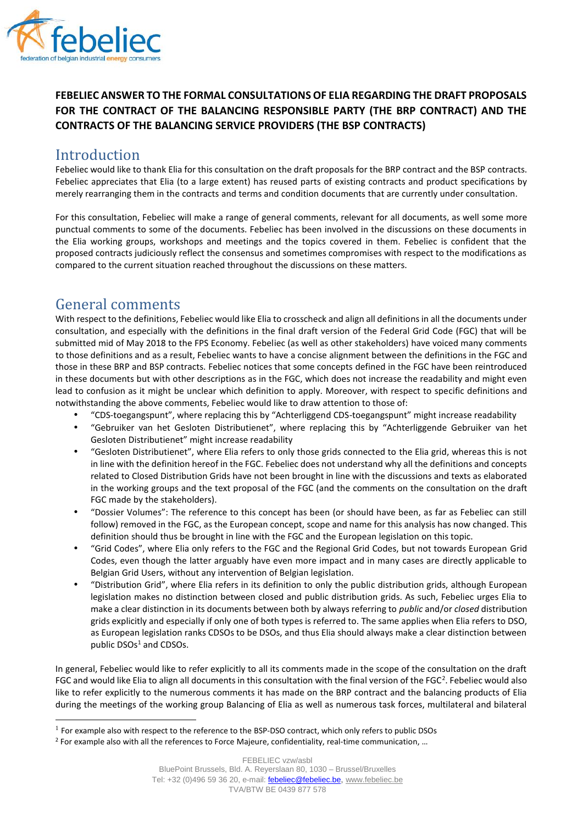

# **FEBELIEC ANSWER TO THE FORMAL CONSULTATIONS OF ELIA REGARDING THE DRAFT PROPOSALS FOR THE CONTRACT OF THE BALANCING RESPONSIBLE PARTY (THE BRP CONTRACT) AND THE CONTRACTS OF THE BALANCING SERVICE PROVIDERS (THE BSP CONTRACTS)**

# Introduction

Febeliec would like to thank Elia for this consultation on the draft proposals for the BRP contract and the BSP contracts. Febeliec appreciates that Elia (to a large extent) has reused parts of existing contracts and product specifications by merely rearranging them in the contracts and terms and condition documents that are currently under consultation.

For this consultation, Febeliec will make a range of general comments, relevant for all documents, as well some more punctual comments to some of the documents. Febeliec has been involved in the discussions on these documents in the Elia working groups, workshops and meetings and the topics covered in them. Febeliec is confident that the proposed contracts judiciously reflect the consensus and sometimes compromises with respect to the modifications as compared to the current situation reached throughout the discussions on these matters.

# General comments

With respect to the definitions, Febeliec would like Elia to crosscheck and align all definitions in all the documents under consultation, and especially with the definitions in the final draft version of the Federal Grid Code (FGC) that will be submitted mid of May 2018 to the FPS Economy. Febeliec (as well as other stakeholders) have voiced many comments to those definitions and as a result, Febeliec wants to have a concise alignment between the definitions in the FGC and those in these BRP and BSP contracts. Febeliec notices that some concepts defined in the FGC have been reintroduced in these documents but with other descriptions as in the FGC, which does not increase the readability and might even lead to confusion as it might be unclear which definition to apply. Moreover, with respect to specific definitions and notwithstanding the above comments, Febeliec would like to draw attention to those of:

- "CDS-toegangspunt", where replacing this by "Achterliggend CDS-toegangspunt" might increase readability
- "Gebruiker van het Gesloten Distributienet", where replacing this by "Achterliggende Gebruiker van het Gesloten Distributienet" might increase readability
- "Gesloten Distributienet", where Elia refers to only those grids connected to the Elia grid, whereas this is not in line with the definition hereof in the FGC. Febeliec does not understand why all the definitions and concepts related to Closed Distribution Grids have not been brought in line with the discussions and texts as elaborated in the working groups and the text proposal of the FGC (and the comments on the consultation on the draft FGC made by the stakeholders).
- "Dossier Volumes": The reference to this concept has been (or should have been, as far as Febeliec can still follow) removed in the FGC, as the European concept, scope and name for this analysis has now changed. This definition should thus be brought in line with the FGC and the European legislation on this topic.
- "Grid Codes", where Elia only refers to the FGC and the Regional Grid Codes, but not towards European Grid Codes, even though the latter arguably have even more impact and in many cases are directly applicable to Belgian Grid Users, without any intervention of Belgian legislation.
- "Distribution Grid", where Elia refers in its definition to only the public distribution grids, although European legislation makes no distinction between closed and public distribution grids. As such, Febeliec urges Elia to make a clear distinction in its documents between both by always referring to *public* and/or *closed* distribution grids explicitly and especially if only one of both types is referred to. The same applies when Elia refers to DSO, as European legislation ranks CDSOs to be DSOs, and thus Elia should always make a clear distinction between public  $DSOs<sup>1</sup>$  and CDSOs.

In general, Febeliec would like to refer explicitly to all its comments made in the scope of the consultation on the draft FGC and would like Elia to align all documents in this consultation with the final version of the FGC<sup>2</sup>. Febeliec would also like to refer explicitly to the numerous comments it has made on the BRP contract and the balancing products of Elia during the meetings of the working group Balancing of Elia as well as numerous task forces, multilateral and bilateral

<sup>&</sup>lt;sup>1</sup> For example also with respect to the reference to the BSP-DSO contract, which only refers to public DSOs

<sup>&</sup>lt;sup>2</sup> For example also with all the references to Force Majeure, confidentiality, real-time communication, ...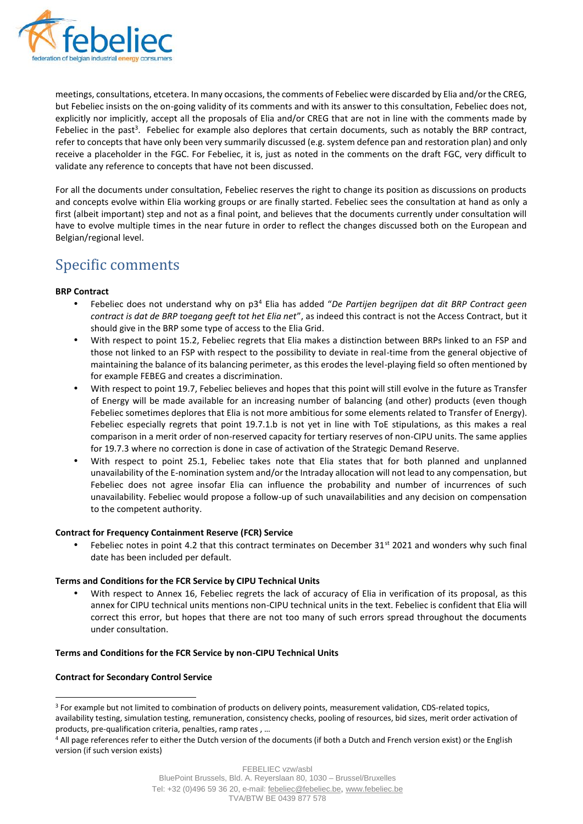

meetings, consultations, etcetera. In many occasions, the comments of Febeliec were discarded by Elia and/or the CREG, but Febeliec insists on the on-going validity of its comments and with its answer to this consultation, Febeliec does not, explicitly nor implicitly, accept all the proposals of Elia and/or CREG that are not in line with the comments made by Febeliec in the past<sup>3</sup>. Febeliec for example also deplores that certain documents, such as notably the BRP contract, refer to concepts that have only been very summarily discussed (e.g. system defence pan and restoration plan) and only receive a placeholder in the FGC. For Febeliec, it is, just as noted in the comments on the draft FGC, very difficult to validate any reference to concepts that have not been discussed.

For all the documents under consultation, Febeliec reserves the right to change its position as discussions on products and concepts evolve within Elia working groups or are finally started. Febeliec sees the consultation at hand as only a first (albeit important) step and not as a final point, and believes that the documents currently under consultation will have to evolve multiple times in the near future in order to reflect the changes discussed both on the European and Belgian/regional level.

# Specific comments

## **BRP Contract**

- Febeliec does not understand why on p3<sup>4</sup> Elia has added "*De Partijen begrijpen dat dit BRP Contract geen contract is dat de BRP toegang geeft tot het Elia net*", as indeed this contract is not the Access Contract, but it should give in the BRP some type of access to the Elia Grid.
- With respect to point 15.2, Febeliec regrets that Elia makes a distinction between BRPs linked to an FSP and those not linked to an FSP with respect to the possibility to deviate in real-time from the general objective of maintaining the balance of its balancing perimeter, as this erodes the level-playing field so often mentioned by for example FEBEG and creates a discrimination.
- With respect to point 19.7, Febeliec believes and hopes that this point will still evolve in the future as Transfer of Energy will be made available for an increasing number of balancing (and other) products (even though Febeliec sometimes deplores that Elia is not more ambitious for some elements related to Transfer of Energy). Febeliec especially regrets that point 19.7.1.b is not yet in line with ToE stipulations, as this makes a real comparison in a merit order of non-reserved capacity for tertiary reserves of non-CIPU units. The same applies for 19.7.3 where no correction is done in case of activation of the Strategic Demand Reserve.
- With respect to point 25.1, Febeliec takes note that Elia states that for both planned and unplanned unavailability of the E-nomination system and/or the Intraday allocation will not lead to any compensation, but Febeliec does not agree insofar Elia can influence the probability and number of incurrences of such unavailability. Febeliec would propose a follow-up of such unavailabilities and any decision on compensation to the competent authority.

## **Contract for Frequency Containment Reserve (FCR) Service**

Febeliec notes in point 4.2 that this contract terminates on December 31<sup>st</sup> 2021 and wonders why such final date has been included per default.

# **Terms and Conditions for the FCR Service by CIPU Technical Units**

 With respect to Annex 16, Febeliec regrets the lack of accuracy of Elia in verification of its proposal, as this annex for CIPU technical units mentions non-CIPU technical units in the text. Febeliec is confident that Elia will correct this error, but hopes that there are not too many of such errors spread throughout the documents under consultation.

## **Terms and Conditions for the FCR Service by non-CIPU Technical Units**

## **Contract for Secondary Control Service**

<sup>&</sup>lt;sup>3</sup> For example but not limited to combination of products on delivery points, measurement validation, CDS-related topics, availability testing, simulation testing, remuneration, consistency checks, pooling of resources, bid sizes, merit order activation of products, pre-qualification criteria, penalties, ramp rates , …

<sup>4</sup> All page references refer to either the Dutch version of the documents (if both a Dutch and French version exist) or the English version (if such version exists)